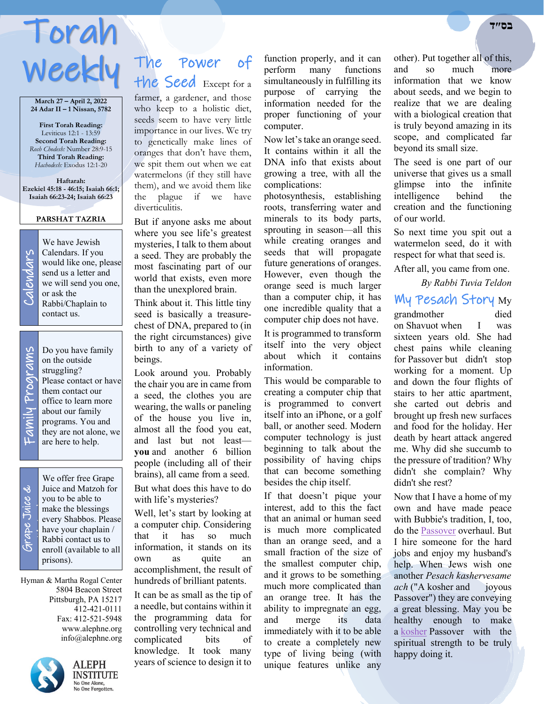# Torah **בס״ד**  Weekly The

**March 27 – April 2, 2022 24 Adar II – 1 Nissan, 5782**

**First Torah Reading:** Leviticus 12:1 - 13:59 **Second Torah Reading:** *Rosh Chodesh:* Number 28:9-15 **Third Torah Reading:** *Hachodesh:* Exodus 12:1-20

**Haftarah: Ezekiel 45:18 - 46:15; Isaiah 66:1; Isaiah 66:23-24; Isaiah 66:23**

#### **PARSHAT TAZRIA**

Calendars lars end

We have Jewish Calendars. If you would like one, please send us a letter and we will send you one, or ask the Rabbi/Chaplain to contact us.

Do you have family on the outside struggling? Please contact or have them contact our office to learn more about our family programs. You and they are not alone, we are here to help.

# Grape Juice & ऄ Juice,

֡֡֡֡֡

We offer free Grape<br>Juice and Matzoh for<br>you to be able to<br>make the blessings<br>every Shabbos. Pleas<br>have your chaplain / Juice and Matzoh for you to be able to make the blessings every Shabbos. Please have your chaplain / Rabbi contact us to enroll (available to all prisons).

Hyman & Martha Rogal Center 5804 Beacon Street Pittsburgh, PA 15217 412-421-0111 Fax: 412-521-5948 www.alephne.org info@alephne.org



**ALEPH INSTITUTE** No One Alone, No One Forgotten.

# Power of the Seed Except for a

farmer, a gardener, and those who keep to a holistic diet, seeds seem to have very little importance in our lives. We try to genetically make lines of oranges that don't have them, we spit them out when we eat watermelons (if they still have them), and we avoid them like the plague if we have diverticulitis.

But if anyone asks me about where you see life's greatest mysteries, I talk to them about a seed. They are probably the most fascinating part of our world that exists, even more than the unexplored brain.

Think about it. This little tiny seed is basically a treasurechest of DNA, prepared to (in the right circumstances) give birth to any of a variety of beings.

Look around you. Probably the chair you are in came from a seed, the clothes you are wearing, the walls or paneling of the house you live in, almost all the food you eat, and last but not least **you** and another 6 billion people (including all of their brains), all came from a seed. But what does this have to do with life's mysteries?

Well, let's start by looking at a computer chip. Considering that it has so much information, it stands on its own as quite an accomplishment, the result of hundreds of brilliant patents.

It can be as small as the tip of a needle, but contains within it the programming data for controlling very technical and complicated bits of knowledge. It took many years of science to design it to

function properly, and it can perform many functions simultaneously in fulfilling its purpose of carrying the information needed for the proper functioning of your computer.

Now let's take an orange seed. It contains within it all the DNA info that exists about growing a tree, with all the complications:

photosynthesis, establishing roots, transferring water and minerals to its body parts, sprouting in season—all this while creating oranges and seeds that will propagate future generations of oranges. However, even though the orange seed is much larger than a computer chip, it has one incredible quality that a computer chip does not have.

It is programmed to transform itself into the very object about which it contains information.

This would be comparable to creating a computer chip that is programmed to convert itself into an iPhone, or a golf ball, or another seed. Modern computer technology is just beginning to talk about the possibility of having chips that can become something besides the chip itself.

If that doesn't pique your interest, add to this the fact that an animal or human seed is much more complicated than an orange seed, and a small fraction of the size of the smallest computer chip, and it grows to be something much more complicated than an orange tree. It has the ability to impregnate an egg, and merge its data immediately with it to be able to create a completely new type of living being (with unique features unlike any

other). Put together all of this, and so much more information that we know about seeds, and we begin to realize that we are dealing with a biological creation that is truly beyond amazing in its scope, and complicated far beyond its small size.

The seed is one part of our universe that gives us a small glimpse into the infinite intelligence behind the creation and the functioning of our world.

So next time you spit out a watermelon seed, do it with respect for what that seed is.

After all, you came from one.

#### *By Rabbi Tuvia Teldon*

My Pesach Story My

grandmother died on Shavuot when I was sixteen years old. She had chest pains while cleaning for Passover but didn't stop working for a moment. Up and down the four flights of stairs to her attic apartment, she carted out debris and brought up fresh new surfaces and food for the holiday. Her death by heart attack angered me. Why did she succumb to the pressure of tradition? Why didn't she complain? Why didn't she rest?

Now that I have a home of my own and have made peace with Bubbie's tradition, I, too, do the [Passover](https://www.alephne.org/holidays/passover/default_cdo/jewish/Passover.htm) overhaul. But I hire someone for the hard jobs and enjoy my husband's help. When Jews wish one another *Pesach kashervesame ach* ("A kosher and joyous Passover") they are conveying a great blessing. May you be healthy enough to make a [kosher](https://www.alephne.org/library/article_cdo/aid/113424/jewish/Kosher.htm) Passover with the spiritual strength to be truly happy doing it.